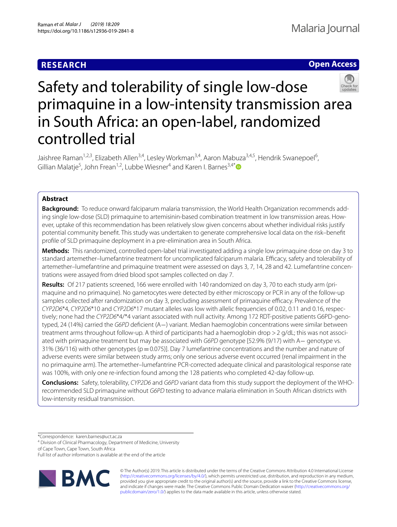## **RESEARCH**





# Safety and tolerability of single low-dose primaquine in a low-intensity transmission area in South Africa: an open-label, randomized controlled trial

Jaishree Raman<sup>1,2,3</sup>, Elizabeth Allen<sup>3,4</sup>, Lesley Workman<sup>3,4</sup>, Aaron Mabuza<sup>3,4,5</sup>, Hendrik Swanepoel<sup>6</sup>, Gillian Malatje<sup>5</sup>, John Frean<sup>1,2</sup>, Lubbe Wiesner<sup>4</sup> and Karen I. Barnes<sup>3,4[\\*](http://orcid.org/0000-0002-0107-3063)</sup>

## **Abstract**

**Background:** To reduce onward falciparum malaria transmission, the World Health Organization recommends adding single low-dose (SLD) primaquine to artemisinin-based combination treatment in low transmission areas. However, uptake of this recommendation has been relatively slow given concerns about whether individual risks justify potential community beneft. This study was undertaken to generate comprehensive local data on the risk–beneft profle of SLD primaquine deployment in a pre-elimination area in South Africa.

**Methods:** This randomized, controlled open-label trial investigated adding a single low primaquine dose on day 3 to standard artemether–lumefantrine treatment for uncomplicated falciparum malaria. Efficacy, safety and tolerability of artemether–lumefantrine and primaquine treatment were assessed on days 3, 7, 14, 28 and 42. Lumefantrine concentrations were assayed from dried blood spot samples collected on day 7.

**Results:** Of 217 patients screened, 166 were enrolled with 140 randomized on day 3, 70 to each study arm (primaquine and no primaquine). No gametocytes were detected by either microscopy or PCR in any of the follow-up samples collected after randomization on day 3, precluding assessment of primaquine efficacy. Prevalence of the *CYP2D6*\*4, *CYP2D6*\*10 and *CYP2D6*\*17 mutant alleles was low with allelic frequencies of 0.02, 0.11 and 0.16, respectively; none had the *CYP2D6*\*4/\*4 variant associated with null activity. Among 172 RDT-positive patients G6PD-genotyped, 24 (14%) carried the *G6PD* defcient (A−) variant. Median haemoglobin concentrations were similar between treatment arms throughout follow-up. A third of participants had a haemoglobin drop >2 g/dL; this was not associated with primaquine treatment but may be associated with *G6PD* genotype [52.9% (9/17) with A− genotype vs. 31% (36/116) with other genotypes ( $p=0.075$ )]. Day 7 lumefantrine concentrations and the number and nature of adverse events were similar between study arms; only one serious adverse event occurred (renal impairment in the no primaquine arm). The artemether–lumefantrine PCR-corrected adequate clinical and parasitological response rate was 100%, with only one re-infection found among the 128 patients who completed 42-day follow-up.

**Conclusions:** Safety, tolerability, *CYP2D6* and *G6PD* variant data from this study support the deployment of the WHOrecommended SLD primaquine without *G6PD* testing to advance malaria elimination in South African districts with low-intensity residual transmission.

\*Correspondence: karen.barnes@uct.ac.za

4 Division of Clinical Pharmacology, Department of Medicine, University

of Cape Town, Cape Town, South Africa

Full list of author information is available at the end of the article



© The Author(s) 2019. This article is distributed under the terms of the Creative Commons Attribution 4.0 International License [\(http://creativecommons.org/licenses/by/4.0/\)](http://creativecommons.org/licenses/by/4.0/), which permits unrestricted use, distribution, and reproduction in any medium, provided you give appropriate credit to the original author(s) and the source, provide a link to the Creative Commons license, and indicate if changes were made. The Creative Commons Public Domain Dedication waiver ([http://creativecommons.org/](http://creativecommons.org/publicdomain/zero/1.0/) [publicdomain/zero/1.0/](http://creativecommons.org/publicdomain/zero/1.0/)) applies to the data made available in this article, unless otherwise stated.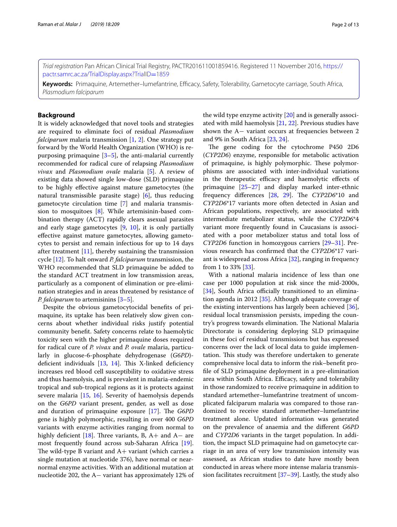*Trial registration* Pan African Clinical Trial Registry, PACTR201611001859416. Registered 11 November 2016, [https://](https://pactr.samrc.ac.za/TrialDisplay.aspx?TrialID=1859) [pactr.samrc.ac.za/TrialDisplay.aspx?TrialID](https://pactr.samrc.ac.za/TrialDisplay.aspx?TrialID=1859)=1859

**Keywords:** Primaquine, Artemether–lumefantrine, Efcacy, Safety, Tolerability, Gametocyte carriage, South Africa, *Plasmodium falciparum*

## **Background**

It is widely acknowledged that novel tools and strategies are required to eliminate foci of residual *Plasmodium falciparum* malaria transmission [\[1](#page-10-0), [2](#page-10-1)]. One strategy put forward by the World Health Organization (WHO) is repurposing primaquine  $[3-5]$  $[3-5]$ , the anti-malarial currently recommended for radical cure of relapsing *Plasmodium vivax* and *Plasmodium ovale* malaria [[5\]](#page-10-3). A review of existing data showed single low-dose (SLD) primaquine to be highly efective against mature gametocytes (the natural transmissible parasite stage) [\[6](#page-10-4)], thus reducing gametocyte circulation time [[7\]](#page-10-5) and malaria transmission to mosquitoes [\[8](#page-10-6)]. While artemisinin-based combination therapy (ACT) rapidly clears asexual parasites and early stage gametocytes [[9](#page-10-7), [10\]](#page-10-8), it is only partially efective against mature gametocytes, allowing gametocytes to persist and remain infectious for up to 14 days after treatment  $[11]$  $[11]$ , thereby sustaining the transmission cycle [[12\]](#page-10-10). To halt onward *P. falciparum* transmission, the WHO recommended that SLD primaquine be added to the standard ACT treatment in low transmission areas, particularly as a component of elimination or pre-elimination strategies and in areas threatened by resistance of *P. falciparum* to artemisinins [[3–](#page-10-2)[5](#page-10-3)].

Despite the obvious gametocytocidal benefts of primaquine, its uptake has been relatively slow given concerns about whether individual risks justify potential community beneft. Safety concerns relate to haemolytic toxicity seen with the higher primaquine doses required for radical cure of *P. vivax* and *P. ovale* malaria, particularly in glucose-6-phosphate dehydrogenase (*G6PD*)- deficient individuals [[13,](#page-10-11) [14](#page-10-12)]. This X-linked deficiency increases red blood cell susceptibility to oxidative stress and thus haemolysis, and is prevalent in malaria-endemic tropical and sub-tropical regions as it is protects against severe malaria [[15,](#page-10-13) [16\]](#page-10-14). Severity of haemolysis depends on the *G6PD* variant present, gender, as well as dose and duration of primaquine exposure [[17\]](#page-10-15). The *G6PD* gene is highly polymorphic, resulting in over 400 *G6PD* variants with enzyme activities ranging from normal to highly deficient [\[18](#page-11-0)]. Three variants, B,  $A+$  and  $A-$  are most frequently found across sub-Saharan Africa [\[19](#page-11-1)]. The wild-type B variant and  $A+$  variant (which carries a single mutation at nucleotide 376), have normal or nearnormal enzyme activities. With an additional mutation at nucleotide 202, the A− variant has approximately 12% of

the wild type enzyme activity [\[20](#page-11-2)] and is generally associated with mild haemolysis [[21,](#page-11-3) [22](#page-11-4)]. Previous studies have shown the A− variant occurs at frequencies between 2 and 9% in South Africa [\[23,](#page-11-5) [24](#page-11-6)].

The gene coding for the cytochrome P450 2D6 (*CYP2D6*) enzyme, responsible for metabolic activation of primaquine, is highly polymorphic. These polymorphisms are associated with inter-individual variations in the therapeutic efficacy and haemolytic effects of primaquine [[25–](#page-11-7)[27](#page-11-8)] and display marked inter-ethnic frequency differences [\[28,](#page-11-9) [29](#page-11-10)]. The CYP2D6\*10 and *CYP2D6*\*17 variants more often detected in Asian and African populations, respectively, are associated with intermediate metabolizer status, while the *CYP2D6*\*4 variant more frequently found in Caucasians is associated with a poor metabolizer status and total loss of *CYP2D6* function in homozygous carriers [[29–](#page-11-10)[31](#page-11-11)]. Previous research has confrmed that the *CYP2D6*\*17 variant is widespread across Africa [\[32](#page-11-12)], ranging in frequency from 1 to 33% [\[33](#page-11-13)].

With a national malaria incidence of less than one case per 1000 population at risk since the mid-2000s, [[34\]](#page-11-14), South Africa officially transitioned to an elimination agenda in 2012 [\[35](#page-11-15)]. Although adequate coverage of the existing interventions has largely been achieved [\[36](#page-11-16)], residual local transmission persists, impeding the country's progress towards elimination. The National Malaria Directorate is considering deploying SLD primaquine in these foci of residual transmissions but has expressed concerns over the lack of local data to guide implementation. This study was therefore undertaken to generate comprehensive local data to inform the risk–beneft profle of SLD primaquine deployment in a pre-elimination area within South Africa. Efficacy, safety and tolerability in those randomized to receive primaquine in addition to standard artemether–lumefantrine treatment of uncomplicated falciparum malaria was compared to those randomized to receive standard artemether–lumefantrine treatment alone. Updated information was generated on the prevalence of anaemia and the diferent *G6PD* and *CYP2D6* variants in the target population. In addition, the impact SLD primaquine had on gametocyte carriage in an area of very low transmission intensity was assessed, as African studies to date have mostly been conducted in areas where more intense malaria transmission facilitates recruitment  $[37-39]$  $[37-39]$ . Lastly, the study also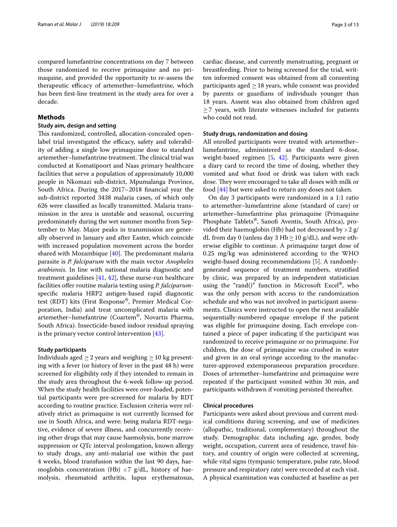compared lumefantrine concentrations on day 7 between those randomized to receive primaquine and no primaquine, and provided the opportunity to re-assess the therapeutic efficacy of artemether–lumefantrine, which has been frst-line treatment in the study area for over a decade.

## **Methods**

## **Study aim, design and setting**

This randomized, controlled, allocation-concealed openlabel trial investigated the efficacy, safety and tolerability of adding a single low primaquine dose to standard artemether–lumefantrine treatment. The clinical trial was conducted at Komatipoort and Naas primary healthcare facilities that serve a population of approximately 10,000 people in Nkomazi sub-district, Mpumalanga Province, South Africa. During the 2017–2018 fnancial year the sub-district reported 3438 malaria cases, of which only 626 were classifed as locally transmitted. Malaria transmission in the area is unstable and seasonal, occurring predominately during the wet summer months from September to May. Major peaks in transmission are generally observed in January and after Easter, which coincide with increased population movement across the border shared with Mozambique  $[40]$  $[40]$  $[40]$ . The predominant malaria parasite is *P. falciparum* with the main vector *Anopheles arabiensis.* In line with national malaria diagnostic and treatment guidelines [\[41](#page-11-20), [42\]](#page-11-21), these nurse-run healthcare facilities offer routine malaria testing using *P. falciparum*specifc malaria HRP2 antigen-based rapid diagnostic test (RDT) kits (First Response®, Premier Medical Corporation, India) and treat uncomplicated malaria with artemether–lumefantrine (Coartem®, Novartis Pharma, South Africa). Insecticide-based indoor residual spraying is the primary vector control intervention [\[43\]](#page-11-22).

## **Study participants**

Individuals aged  $\geq$  2 years and weighing  $\geq$  10 kg presenting with a fever (or history of fever in the past 48 h) were screened for eligibility only if they intended to remain in the study area throughout the 6-week follow-up period. When the study health facilities were over-loaded, potential participants were pre-screened for malaria by RDT according to routine practice. Exclusion criteria were relatively strict as primaquine is not currently licensed for use in South Africa, and were: being malaria RDT-negative, evidence of severe illness, and concurrently receiving other drugs that may cause haemolysis, bone marrow suppression or QTc interval prolongation, known allergy to study drugs, any anti-malarial use within the past 4 weeks, blood transfusion within the last 90 days, haemoglobin concentration (Hb)  $\langle 7 \text{ g/dL}$ , history of haemolysis, rheumatoid arthritis, lupus erythematosus, cardiac disease, and currently menstruating, pregnant or breastfeeding. Prior to being screened for the trial, written informed consent was obtained from all consenting participants aged  $\geq$  18 years, while consent was provided by parents or guardians of individuals younger than 18 years. Assent was also obtained from children aged  $\geq$  7 years, with literate witnesses included for patients who could not read.

## **Study drugs, randomization and dosing**

All enrolled participants were treated with artemether– lumefantrine, administered as the standard 6-dose, weight-based regimen [[5,](#page-10-3) [42\]](#page-11-21). Participants were given a diary card to record the time of dosing, whether they vomited and what food or drink was taken with each dose. They were encouraged to take all doses with milk or food [[44\]](#page-11-23) but were asked to return any doses not taken.

On day 3 participants were randomized in a 1:1 ratio to artemether–lumefantrine alone (standard of care) or artemether–lumefantrine plus primaquine (Primaquine Phosphate Tablets®, Sanof Aventis, South Africa), provided their haemoglobin (Hb) had not decreased by  $>$  2 g/ dL from day 0 (unless day 3 Hb  $\geq$  10 g/dL), and were otherwise eligible to continue. A primaquine target dose of 0.25 mg/kg was administered according to the WHO weight-based dosing recommendations [\[5](#page-10-3)]. A randomlygenerated sequence of treatment numbers, stratifed by clinic, was prepared by an independent statistician using the "rand()" function in Microsoft Excel<sup>®</sup>, who was the only person with access to the randomization schedule and who was not involved in participant assessments. Clinics were instructed to open the next available sequentially-numbered opaque envelope if the patient was eligible for primaquine dosing. Each envelope contained a piece of paper indicating if the participant was randomized to receive primaquine or no primaquine. For children, the dose of primaquine was crushed in water and given in an oral syringe according to the manufacturer-approved extemporaneous preparation procedure. Doses of artemether–lumefantrine and primaquine were repeated if the participant vomited within 30 min, and participants withdrawn if vomiting persisted thereafter.

## **Clinical procedures**

Participants were asked about previous and current medical conditions during screening, and use of medicines (allopathic, traditional, complementary) throughout the study. Demographic data including age, gender, body weight, occupation, current area of residence, travel history, and country of origin were collected at screening, while vital signs (tympanic temperature, pulse rate, blood pressure and respiratory rate) were recorded at each visit. A physical examination was conducted at baseline as per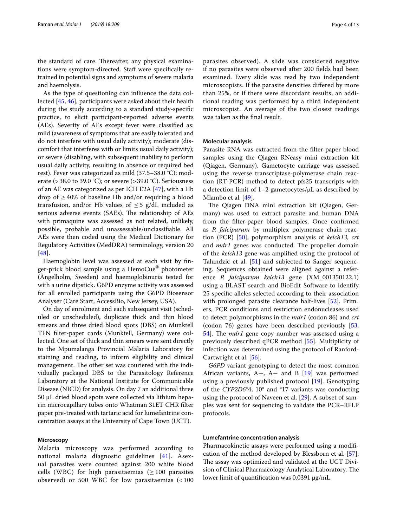the standard of care. Thereafter, any physical examinations were symptom-directed. Staf were specifcally retrained in potential signs and symptoms of severe malaria and haemolysis.

As the type of questioning can infuence the data collected [[45,](#page-11-24) [46](#page-11-25)], participants were asked about their health during the study according to a standard study-specifc practice, to elicit participant-reported adverse events (AEs). Severity of AEs except fever were classifed as: mild (awareness of symptoms that are easily tolerated and do not interfere with usual daily activity); moderate (discomfort that interferes with or limits usual daily activity); or severe (disabling, with subsequent inability to perform usual daily activity, resulting in absence or required bed rest). Fever was categorized as mild (37.5–38.0 °C); moderate (>38.0 to 39.0 °C); or severe (>39.0 °C). Seriousness of an AE was categorized as per ICH E2A [\[47](#page-11-26)], with a Hb drop of  $\geq$  40% of baseline Hb and/or requiring a blood transfusion, and/or Hb values of  $\leq$  5 g/dL included as serious adverse events (SAEs). The relationship of AEs with primaquine was assessed as not related, unlikely, possible, probable and unassessable/unclassifable. All AEs were then coded using the Medical Dictionary for Regulatory Activities (MedDRA) terminology, version 20 [[48\]](#page-11-27).

Haemoglobin level was assessed at each visit by fnger-prick blood sample using a HemoCue® photometer (Ängelholm, Sweden) and haemoglobinuria tested for with a urine dipstick. G6PD enzyme activity was assessed for all enrolled participants using the G6PD Biosensor Analyser (Care Start, AccessBio, New Jersey, USA).

On day of enrolment and each subsequent visit (scheduled or unscheduled), duplicate thick and thin blood smears and three dried blood spots (DBS) on Munktell TFN flter-paper cards (Munktell, Germany) were collected. One set of thick and thin smears were sent directly to the Mpumalanga Provincial Malaria Laboratory for staining and reading, to inform eligibility and clinical management. The other set was couriered with the individually packaged DBS to the Parasitology Reference Laboratory at the National Institute for Communicable Disease (NICD) for analysis. On day 7 an additional three 50 µL dried blood spots were collected via lithium heparin microcapillary tubes onto Whatman 31ET CHR flter paper pre-treated with tartaric acid for lumefantrine concentration assays at the University of Cape Town (UCT).

## **Microscopy**

Malaria microscopy was performed according to national malaria diagnostic guidelines [[41](#page-11-20)]. Asexual parasites were counted against 200 white blood cells (WBC) for high parasitaemias ( $\geq$  100 parasites observed) or 500 WBC for low parasitaemias (< 100 parasites observed). A slide was considered negative if no parasites were observed after 200 felds had been examined. Every slide was read by two independent microscopists. If the parasite densities difered by more than 25%, or if there were discordant results, an additional reading was performed by a third independent microscopist. An average of the two closest readings was taken as the fnal result.

## **Molecular analysis**

Parasite RNA was extracted from the flter-paper blood samples using the Qiagen RNeasy mini extraction kit (Qiagen, Germany). Gametocyte carriage was assessed using the reverse transcriptase-polymerase chain reaction (RT-PCR) method to detect pfs25 transcripts with a detection limit of  $1-2$  gametocytes/ $\mu$ L as described by Mlambo et al. [[49\]](#page-11-28).

The Qiagen DNA mini extraction kit (Qiagen, Germany) was used to extract parasite and human DNA from the flter-paper blood samples. Once confrmed as *P. falciparum* by multiplex polymerase chain reaction (PCR) [\[50\]](#page-11-29), polymorphism analysis of *kelch13*, *crt* and *mdr1* genes was conducted. The propeller domain of the *kelch13* gene was amplifed using the protocol of Talundzic et al. [[51\]](#page-11-30) and subjected to Sanger sequencing. Sequences obtained were aligned against a reference *P. falciparum kelch13* gene (XM\_001350122.1) using a BLAST search and BioEdit Software to identify 25 specifc alleles selected according to their association with prolonged parasite clearance half-lives [[52](#page-11-31)]. Primers, PCR conditions and restriction endonucleases used to detect polymorphisms in the *mdr1* (codon 86) and *crt* (codon 76) genes have been described previously [[53](#page-11-32), [54\]](#page-11-33). The *mdr1* gene copy number was assessed using a previously described qPCR method [[55\]](#page-11-34). Multiplicity of infection was determined using the protocol of Ranford-Cartwright et al. [\[56\]](#page-11-35).

*G6PD* variant genotyping to detect the most common African variants,  $A+$ ,  $A-$  and  $B$  [\[19](#page-11-1)] was performed using a previously published protocol [[19\]](#page-11-1). Genotyping of the *CYP2D6*\*4, 10\* and \*17 variants was conducting using the protocol of Naveen et al. [[29\]](#page-11-10). A subset of samples was sent for sequencing to validate the PCR–RFLP protocols.

## **Lumefantrine concentration analysis**

Pharmacokinetic assays were performed using a modifcation of the method developed by Blessborn et al. [\[57](#page-11-36)]. The assay was optimized and validated at the UCT Division of Clinical Pharmacology Analytical Laboratory. The lower limit of quantifcation was 0.0391 µg/mL.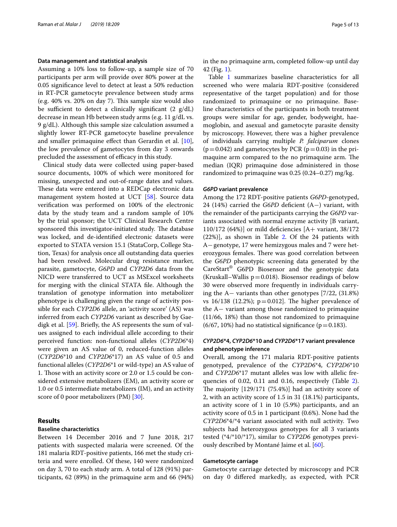#### **Data management and statistical analysis**

Assuming a 10% loss to follow-up, a sample size of 70 participants per arm will provide over 80% power at the 0.05 signifcance level to detect at least a 50% reduction in RT-PCR gametocyte prevalence between study arms (e.g. 40% vs. 20% on day 7). This sample size would also be sufficient to detect a clinically significant  $(2 g/dL)$ decrease in mean Hb between study arms (e.g. 11 g/dL vs. 9 g/dL). Although this sample size calculation assumed a slightly lower RT-PCR gametocyte baseline prevalence and smaller primaquine effect than Gerardin et al. [\[10](#page-10-8)], the low prevalence of gametocytes from day 3 onwards precluded the assessment of efficacy in this study.

Clinical study data were collected using paper-based source documents, 100% of which were monitored for missing, unexpected and out-of-range dates and values. These data were entered into a REDCap electronic data management system hosted at UCT [\[58](#page-11-37)]. Source data verifcation was performed on 100% of the electronic data by the study team and a random sample of 10% by the trial sponsor; the UCT Clinical Research Centre sponsored this investigator-initiated study. The database was locked, and de-identifed electronic datasets were exported to STATA version 15.1 (StataCorp, College Station, Texas) for analysis once all outstanding data queries had been resolved. Molecular drug resistance marker, parasite, gametocyte, *G6PD* and *CYP2D6* data from the NICD were transferred to UCT as MSExcel worksheets for merging with the clinical STATA fle. Although the translation of genotype information into metabolizer phenotype is challenging given the range of activity possible for each *CYP2D6* allele, an 'activity score' (AS) was inferred from each *CYP2D6* variant as described by Gae-digk et al. [[59\]](#page-12-0). Briefly, the AS represents the sum of values assigned to each individual allele according to their perceived function: non-functional alleles (*CYP2D6*\*4) were given an AS value of 0, reduced-function alleles (*CYP2D6*\*10 and *CYP2D6*\*17) an AS value of 0.5 and functional alleles (*CYP2D6*\*1 or wild-type) an AS value of 1. Those with an activity score or 2.0 or 1.5 could be considered extensive metabolizers (EM), an activity score or 1.0 or 0.5 intermediate metabolizers (IM), and an activity score of 0 poor metabolizers (PM) [\[30](#page-11-38)].

## **Results**

## **Baseline characteristics**

Between 14 December 2016 and 7 June 2018, 217 patients with suspected malaria were screened. Of the 181 malaria RDT-positive patients, 166 met the study criteria and were enrolled. Of these, 140 were randomized on day 3, 70 to each study arm. A total of 128 (91%) participants, 62 (89%) in the primaquine arm and 66 (94%) in the no primaquine arm, completed follow-up until day 42 (Fig. [1](#page-5-0)).

Table [1](#page-5-1) summarizes baseline characteristics for all screened who were malaria RDT-positive (considered representative of the target population) and for those randomized to primaquine or no primaquine. Baseline characteristics of the participants in both treatment groups were similar for age, gender, bodyweight, haemoglobin, and asexual and gametocyte parasite density by microscopy. However, there was a higher prevalence of individuals carrying multiple *P. falciparum* clones  $(p=0.042)$  and gametocytes by PCR  $(p=0.03)$  in the primaquine arm compared to the no primaquine arm. The median (IQR) primaquine dose administered in those randomized to primaquine was 0.25 (0.24–0.27) mg/kg.

## *G6PD* **variant prevalence**

Among the 172 RDT-positive patients *G6PD*-genotyped, 24 (14%) carried the *G6PD* defcient (A−) variant, with the remainder of the participants carrying the *G6PD* variants associated with normal enzyme activity [B variant, 110/172 (64%)] or mild defciencies [A+ variant, 38/172 (22%)], as shown in Table [2.](#page-6-0) Of the 24 patients with A−genotype, 17 were hemizygous males and 7 were heterozygous females. There was good correlation between the *G6PD* phenotypic screening data generated by the CareStart® G6PD Biosensor and the genotypic data (Kruskall–Wallis  $p = 0.018$ ). Biosensor readings of below 30 were observed more frequently in individuals carrying the A− variants than other genotypes [7/22, (31.8%) vs 16/138 (12.2%);  $p=0.012$ ]. The higher prevalence of the A− variant among those randomized to primaquine (11/66, 18%) than those not randomized to primaquine  $(6/67, 10%)$  had no statistical significance (p=0.183).

## *CYP2D6***\*4,** *CYP2D6***\*10 and** *CYP2D6***\*17 variant prevalence and phenotype inference**

Overall, among the 171 malaria RDT-positive patients genotyped, prevalence of the *CYP2D6*\*4, *CYP2D6*\*10 and *CYP2D6*\*17 mutant alleles was low with allelic frequencies of 0.02, 0.11 and 0.16, respectively (Table [2](#page-6-0)). The majority  $[129/171 (75.4%)]$  had an activity score of 2, with an activity score of 1.5 in 31 (18.1%) participants, an activity score of 1 in 10 (5.9%) participants, and an activity score of 0.5 in 1 participant (0.6%). None had the *CYP2D6*\*4/\*4 variant associated with null activity. Two subjects had heterozygous genotypes for all 3 variants tested (\*4/\*10/\*17), similar to *CYP2D6* genotypes previously described by Montané Jaime et al. [[60\]](#page-12-1).

## **Gametocyte carriage**

Gametocyte carriage detected by microscopy and PCR on day 0 difered markedly, as expected, with PCR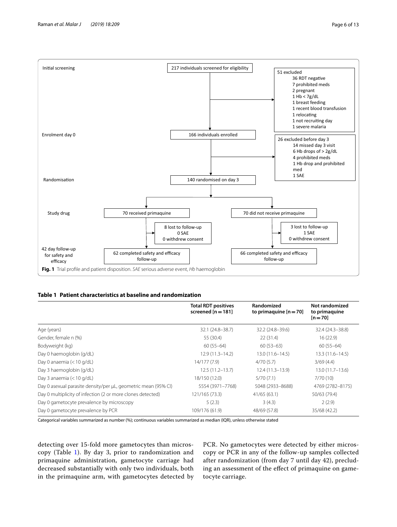

## <span id="page-5-1"></span><span id="page-5-0"></span>**Table 1 Patient characteristics at baseline and randomization**

|                                                                | <b>Total RDT positives</b><br>screened $[n = 181]$ | Randomized<br>to primaquine $[n=70]$ | Not randomized<br>to primaquine<br>$[n = 70]$ |
|----------------------------------------------------------------|----------------------------------------------------|--------------------------------------|-----------------------------------------------|
| Age (years)                                                    | 32.1 (24.8-38.7)                                   | 32.2 (24.8-39.6)                     | 32.4 (24.3–38.8)                              |
| Gender, female n (%)                                           | 55 (30.4)                                          | 22(31.4)                             | 16(22.9)                                      |
| Bodyweight (kg)                                                | $60(55-64)$                                        | $60(53-63)$                          | $60(55-64)$                                   |
| Day 0 haemoglobin (g/dL)                                       | $12.9(11.3 - 14.2)$                                | $13.0(11.6 - 14.5)$                  | $13.3(11.6 - 14.5)$                           |
| Day 0 anaemia $(< 10$ g/dL)                                    | 14/177 (7.9)                                       | 4/70(5.7)                            | 3/69(4.4)                                     |
| Day 3 haemoglobin (g/dL)                                       | $12.5(11.2 - 13.7)$                                | $12.4(11.3-13.9)$                    | $13.0(11.7-13.6)$                             |
| Day 3 anaemia $(< 10$ g/dL)                                    | 18/150 (12.0)                                      | 5/70(7.1)                            | 7/70(10)                                      |
| Day 0 asexual parasite density/per µL, geometric mean (95% CI) | 5554 (3971-7768)                                   | 5048 (2933-8688)                     | 4769 (2782-8175)                              |
| Day 0 multiplicity of infection (2 or more clones detected)    | 121/165 (73.3)                                     | 41/65(63.1)                          | 50/63 (79.4)                                  |
| Day 0 gametocyte prevalence by microscopy                      | 5(2.3)                                             | 3(4.3)                               | 2(2.9)                                        |
| Day 0 gametocyte prevalence by PCR                             | 109/176 (61.9)                                     | 48/69 (57.8)                         | 35/68 (42.2)                                  |

Categorical variables summarized as number (%); continuous variables summarized as median (IQR), unless otherwise stated

detecting over 15-fold more gametocytes than microscopy (Table [1](#page-5-1)). By day 3, prior to randomization and primaquine administration, gametocyte carriage had decreased substantially with only two individuals, both in the primaquine arm, with gametocytes detected by

PCR. No gametocytes were detected by either microscopy or PCR in any of the follow-up samples collected after randomization (from day 7 until day 42), precluding an assessment of the efect of primaquine on gametocyte carriage.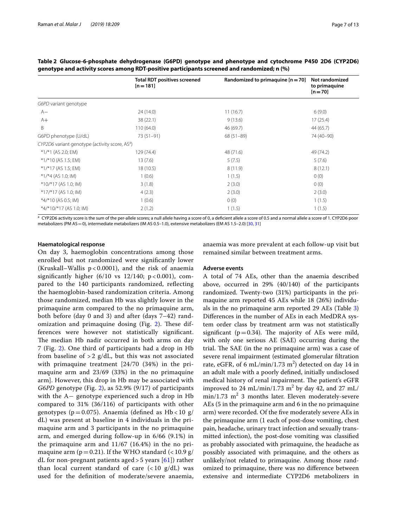|                                                            | <b>Total RDT positives screened</b><br>$[n = 181]$ | Randomized to primaguine $[n = 70]$ | Not randomized<br>to primaquine<br>$[n = 70]$ |
|------------------------------------------------------------|----------------------------------------------------|-------------------------------------|-----------------------------------------------|
| G6PD variant genotype                                      |                                                    |                                     |                                               |
| $A-$                                                       | 24(14.0)                                           | 11(16.7)                            | 6(9.0)                                        |
| $A+$                                                       | 38(22.1)                                           | 9(13.6)                             | 17(25.4)                                      |
| B                                                          | 110(64.0)                                          | 46 (69.7)                           | 44 (65.7)                                     |
| G6PD phenotype (U/dL)                                      | $73(51-91)$                                        | 68 (51-89)                          | 74 (40-90)                                    |
| CYP2D6 variant genotype (activity score, AS <sup>a</sup> ) |                                                    |                                     |                                               |
| $*1/*1$ (AS 2.0; EM)                                       | 129 (74.4)                                         | 48 (71.6)                           | 49 (74.2)                                     |
| $*1/*10$ (AS 1.5; EM)                                      | 13(7.6)                                            | 5(7.5)                              | 5(7.6)                                        |
| $*1/*17$ (AS 1.5; EM)                                      | 18(10.5)                                           | 8(11.9)                             | 8(12.1)                                       |
| $*1/*4$ (AS 1.0; IM)                                       | 1(0.6)                                             | 1(1.5)                              | 0(0)                                          |
| $*10/*17$ (AS 1.0; IM)                                     | 3(1.8)                                             | 2(3.0)                              | 0(0)                                          |
| $*17/*17$ (AS 1.0; IM)                                     | 4(2.3)                                             | 2(3.0)                              | 2(3.0)                                        |
| $*4/*10$ (AS 0.5; IM)                                      | 1(0.6)                                             | 0(0)                                | 1(1.5)                                        |
| *4/*10/*17 (AS 1.0; IM)                                    | 2(1.2)                                             | 1(1.5)                              | 1(1.5)                                        |
|                                                            |                                                    |                                     |                                               |

<span id="page-6-0"></span>**Table 2 Glucose-6-phosphate dehydrogenase (G6PD) genotype and phenotype and cytochrome P450 2D6 (CYP2D6) genotype and activity scores among RDT-positive participants screened and randomized; n (%)**

<sup>a</sup> CYP2D6 activity score is the sum of the per-allele scores; a null allele having a score of 0, a deficient allele a score of 0.5 and a normal allele a score of 1. CYP2D6 poor metabolizers (PM AS = 0), intermediate metabolizers (IM AS 0.5–1.0), extensive metabolizers (EM AS 1.5–2.0) [\[30](#page-11-38), [31\]](#page-11-11)

## **Haematological response**

On day 3, haemoglobin concentrations among those enrolled but not randomized were signifcantly lower (Kruskall–Wallis  $p < 0.0001$ ), and the risk of anaemia significantly higher  $(6/10 \text{ vs } 12/140; \text{ p} < 0.001)$ , compared to the 140 participants randomized, refecting the haemoglobin-based randomization criteria. Among those randomized, median Hb was slightly lower in the primaquine arm compared to the no primaquine arm, both before (day 0 and 3) and after (days 7–42) randomization and primaquine dosing (Fig.  $2$ ). These differences were however not statistically signifcant. The median Hb nadir occurred in both arms on day 7 (Fig. [2\)](#page-7-0). One third of participants had a drop in Hb from baseline of  $> 2$  g/dL, but this was not associated with primaquine treatment [24/70 (34%) in the primaquine arm and 23/69 (33%) in the no primaquine arm]. However, this drop in Hb may be associated with *G6PD* genotype (Fig. [2\)](#page-7-0), as 52.9% (9/17) of participants with the A− genotype experienced such a drop in Hb compared to 31% (36/116) of participants with other genotypes ( $p=0.075$ ). Anaemia (defined as Hb < 10 g/ dL) was present at baseline in 4 individuals in the primaquine arm and 3 participants in the no primaquine arm, and emerged during follow-up in 6/66 (9.1%) in the primaquine arm and 11/67 (16.4%) in the no primaquine arm ( $p=0.21$ ). If the WHO standard (< 10.9 g/ dL for non-pregnant patients aged  $>$  5 years [[61\]](#page-12-2)) rather than local current standard of care  $(<10 \text{ g/dL})$  was used for the defnition of moderate/severe anaemia, anaemia was more prevalent at each follow-up visit but remained similar between treatment arms.

## **Adverse events**

A total of 74 AEs, other than the anaemia described above, occurred in 29% (40/140) of the participants randomized. Twenty-two (31%) participants in the primaquine arm reported 45 AEs while 18 (26%) individuals in the no primaquine arm reported 29 AEs (Table [3](#page-7-1)) Diferences in the number of AEs in each MedDRA system order class by treatment arm was not statistically significant ( $p=0.34$ ). The majority of AEs were mild, with only one serious AE (SAE) occurring during the trial. The SAE (in the no primaquine arm) was a case of severe renal impairment (estimated glomerular fltration rate, eGFR, of 6 mL/min/1.73 m<sup>2</sup>) detected on day 14 in an adult male with a poorly defned, initially undisclosed medical history of renal impairment. The patient's eGFR improved to 24 mL/min/1.73  $m^2$  by day 42, and 27 mL/  $min/1.73$   $m^2$  3 months later. Eleven moderately-severe AEs (5 in the primaquine arm and 6 in the no primaquine arm) were recorded. Of the fve moderately severe AEs in the primaquine arm (1 each of post-dose vomiting, chest pain, headache, urinary tract infection and sexually transmitted infection), the post-dose vomiting was classifed as probably associated with primaquine, the headache as possibly associated with primaquine, and the others as unlikely/not related to primaquine. Among those randomized to primaquine, there was no diference between extensive and intermediate CYP2D6 metabolizers in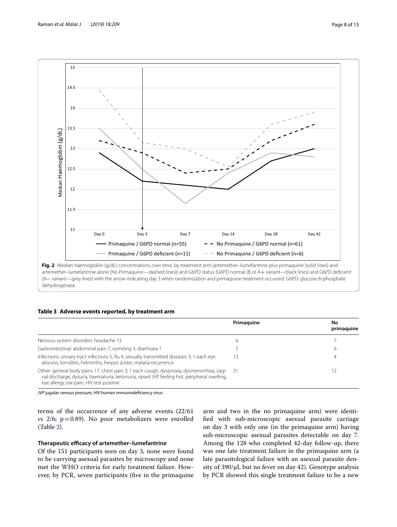

<span id="page-7-0"></span>artemether–lumefantrine alone (No Primaquine—dashed lines)) and G6PD status (G6PD normal (B or A+ variant—black lines) and G6PD defcient (A− variant—grey lines) with the arrow indicating day 3 when randomization and primaquine treatment occurred. G6PD: glucose-6-phosphate dehydrogenase

## <span id="page-7-1"></span>**Table 3 Adverse events reported, by treatment arm**

|                                                                                                                                                                                                                                           | Primaguine | No<br>primaguine |
|-------------------------------------------------------------------------------------------------------------------------------------------------------------------------------------------------------------------------------------------|------------|------------------|
| Nervous system disorders: headache 13                                                                                                                                                                                                     | 6          |                  |
| Gastrointestinal: abdominal pain 7, vomiting 3, diarrhoea 1                                                                                                                                                                               |            | h                |
| Infections: urinary tract infections 5, flu 4, sexually transmitted diseases 3; 1 each eye<br>abscess, tonsillitis, helminths, herpes zoster, malaria recurrence                                                                          | 13         |                  |
| Other: general body pains 17, chest pain 3; 1 each cough, dyspnoea, dysmenorrhea, vagi-<br>21<br>nal discharge, dysuria, haematuria, ketonuria, raised JVP, feeling hot, peripheral swelling,<br>eye allergy, ear pain, HIV test positive |            |                  |

*JVP* jugular venous pressure, *HIV* human immunodefciency virus

terms of the occurrence of any adverse events (22/61 *vs*  $2/6$ ;  $p = 0.89$ ). No poor metabolizers were enrolled (Table [2](#page-6-0)).

## **Therapeutic efficacy of artemether-lumefantrine**

Of the 151 participants seen on day 3, none were found to be carrying asexual parasites by microscopy and none met the WHO criteria for early treatment failure. However, by PCR, seven participants (five in the primaquine arm and two in the no primaquine arm) were identifed with sub-microscopic asexual parasite carriage on day 3 with only one (in the primaquine arm) having sub-microscopic asexual parasites detectable on day 7. Among the 128 who completed 42-day follow-up, there was one late treatment failure in the primaquine arm (a late parasitological failure with an asexual parasite density of 390/μL but no fever on day 42). Genotype analysis by PCR showed this single treatment failure to be a new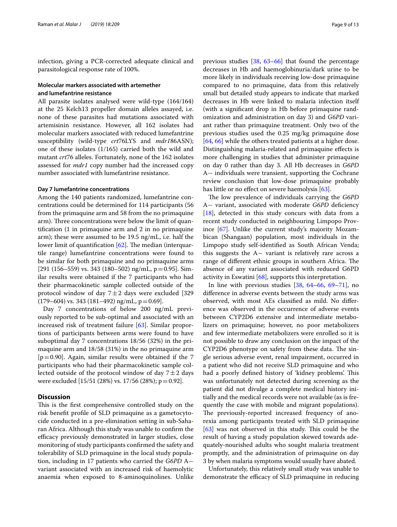infection, giving a PCR-corrected adequate clinical and parasitological response rate of 100%.

## **Molecular markers associated with artemether and lumefantrine resistance**

All parasite isolates analysed were wild-type (164/164) at the 25 Kelch13 propeller domain alleles assayed, i.e. none of these parasites had mutations associated with artemisinin resistance. However, all 162 isolates had molecular markers associated with reduced lumefantrine susceptibility (wild-type *crt*76LYS and *mdr1*86ASN); one of these isolates (1/165) carried both the wild and mutant *crt*76 alleles. Fortunately, none of the 162 isolates assessed for *mdr1* copy number had the increased copy number associated with lumefantrine resistance.

#### **Day 7 lumefantrine concentrations**

Among the 140 patients randomized, lumefantrine concentrations could be determined for 114 participants (56 from the primaquine arm and 58 from the no primaquine arm). Three concentrations were below the limit of quantifcation (1 in primaquine arm and 2 in no primaquine arm); these were assumed to be 19.5 ng/mL, i.e. half the lower limit of quantification  $[62]$ . The median (interquartile range) lumefantrine concentrations were found to be similar for both primaquine and no primaquine arms [291 (156–559) vs. 343 (180–502) ng/mL,  $p = 0.95$ ]. Similar results were obtained if the 7 participants who had their pharmacokinetic sample collected outside of the protocol window of day  $7\pm 2$  days were excluded [329]  $(179-604)$  vs. 343  $(181-492)$  ng/mL, p=0.69].

Day 7 concentrations of below 200 ng/mL previously reported to be sub-optimal and associated with an increased risk of treatment failure [[63\]](#page-12-4). Similar proportions of participants between arms were found to have suboptimal day 7 concentrations 18/56 (32%) in the primaquine arm and 18/58 (31%) in the no primaquine arm  $[p=0.90]$ . Again, similar results were obtained if the 7 participants who had their pharmacokinetic sample collected outside of the protocol window of day  $7\pm 2$  days were excluded [15/51 (28%) vs. 17/56 (28%); p=0.92].

## **Discussion**

This is the first comprehensive controlled study on the risk beneft profle of SLD primaquine as a gametocytocide conducted in a pre-elimination setting in sub-Saharan Africa. Although this study was unable to confrm the efficacy previously demonstrated in larger studies, close monitoring of study participants confrmed the safety and tolerability of SLD primaquine in the local study population, including in 17 patients who carried the *G6PD* A− variant associated with an increased risk of haemolytic anaemia when exposed to 8-aminoquinolines. Unlike previous studies [[38,](#page-11-39) [63–](#page-12-4)[66](#page-12-5)] that found the percentage decreases in Hb and haemoglobinuria/dark urine to be more likely in individuals receiving low-dose primaquine compared to no primaquine, data from this relatively small but detailed study appears to indicate that marked decreases in Hb were linked to malaria infection itself (with a signifcant drop in Hb before primaquine randomization and administration on day 3) and *G6PD* variant rather than primaquine treatment. Only two of the previous studies used the 0.25 mg/kg primaquine dose [[64,](#page-12-6) [66](#page-12-5)] while the others treated patients at a higher dose. Distinguishing malaria-related and primaquine efects is more challenging in studies that administer primaquine on day 0 rather than day 3. All Hb decreases in *G6PD* A− individuals were transient, supporting the Cochrane review conclusion that low-dose primaquine probably has little or no effect on severe haemolysis [[63\]](#page-12-4).

The low prevalence of individuals carrying the *G6PD* A− variant, associated with moderate *G6PD* defciency [[18\]](#page-11-0), detected in this study concurs with data from a recent study conducted in neighbouring Limpopo Province [\[67](#page-12-7)]. Unlike the current study's majority Mozambican (Shangaan) population, most individuals in the Limpopo study self-identifed as South African Venda; this suggests the A− variant is relatively rare across a range of different ethnic groups in southern Africa. The absence of any variant associated with reduced G6PD activity in Eswatini [[68](#page-12-8)], supports this interpretation.

In line with previous studies  $[38, 64-66, 69-71]$  $[38, 64-66, 69-71]$  $[38, 64-66, 69-71]$  $[38, 64-66, 69-71]$  $[38, 64-66, 69-71]$  $[38, 64-66, 69-71]$  $[38, 64-66, 69-71]$ , no diference in adverse events between the study arms was observed, with most AEs classifed as mild. No diference was observed in the occurrence of adverse events between CYP2D6 extensive and intermediate metabolizers on primaquine; however, no poor metabolizers and few intermediate metabolizers were enrolled so it is not possible to draw any conclusion on the impact of the CYP2D6 phenotype on safety from these data. The single serious adverse event, renal impairment, occurred in a patient who did not receive SLD primaquine and who had a poorly defined history of 'kidney problems'. This was unfortunately not detected during screening as the patient did not divulge a complete medical history initially and the medical records were not available (as is frequently the case with mobile and migrant populations). The previously-reported increased frequency of anorexia among participants treated with SLD primaquine  $[63]$  $[63]$  was not observed in this study. This could be the result of having a study population skewed towards adequately-nourished adults who sought malaria treatment promptly, and the administration of primaquine on day 3 by when malaria symptoms would usually have abated.

Unfortunately, this relatively small study was unable to demonstrate the efficacy of SLD primaquine in reducing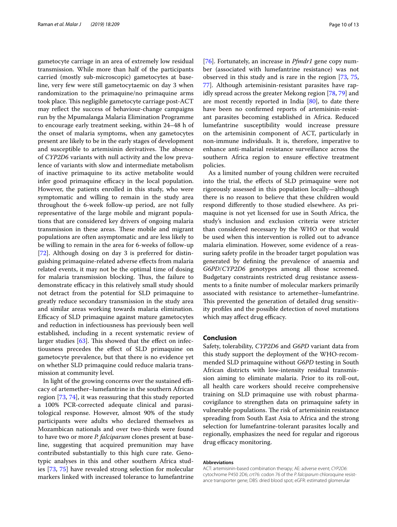gametocyte carriage in an area of extremely low residual transmission. While more than half of the participants carried (mostly sub-microscopic) gametocytes at baseline, very few were still gametocytaemic on day 3 when randomization to the primaquine/no primaquine arms took place. This negligible gametocyte carriage post-ACT may refect the success of behaviour-change campaigns run by the Mpumalanga Malaria Elimination Programme to encourage early treatment seeking, within 24–48 h of the onset of malaria symptoms, when any gametocytes present are likely to be in the early stages of development and susceptible to artemisinin derivatives. The absence of *CYP2D6* variants with null activity and the low prevalence of variants with slow and intermediate metabolism of inactive primaquine to its active metabolite would infer good primaquine efficacy in the local population. However, the patients enrolled in this study, who were symptomatic and willing to remain in the study area throughout the 6-week follow-up period, are not fully representative of the large mobile and migrant populations that are considered key drivers of ongoing malaria transmission in these areas. These mobile and migrant populations are often asymptomatic and are less likely to be willing to remain in the area for 6-weeks of follow-up [[72\]](#page-12-11). Although dosing on day 3 is preferred for distinguishing primaquine-related adverse efects from malaria related events, it may not be the optimal time of dosing for malaria transmission blocking. Thus, the failure to demonstrate efficacy in this relatively small study should not detract from the potential for SLD primaquine to greatly reduce secondary transmission in the study area and similar areas working towards malaria elimination. Efficacy of SLD primaquine against mature gametocytes and reduction in infectiousness has previously been well established, including in a recent systematic review of larger studies  $[63]$  $[63]$ . This showed that the effect on infectiousness precedes the efect of SLD primaquine on gametocyte prevalence, but that there is no evidence yet on whether SLD primaquine could reduce malaria transmission at community level.

In light of the growing concerns over the sustained efficacy of artemether–lumefantrine in the southern African region [[73,](#page-12-12) [74](#page-12-13)], it was reassuring that this study reported a 100% PCR-corrected adequate clinical and parasitological response. However, almost 90% of the study participants were adults who declared themselves as Mozambican nationals and over two-thirds were found to have two or more *P. falciparum* clones present at baseline, suggesting that acquired premunition may have contributed substantially to this high cure rate. Genotypic analyses in this and other southern Africa studies [\[73,](#page-12-12) [75](#page-12-14)] have revealed strong selection for molecular markers linked with increased tolerance to lumefantrine

[[76\]](#page-12-15). Fortunately, an increase in *Pfmdr1* gene copy number (associated with lumefantrine resistance) was not observed in this study and is rare in the region [[73,](#page-12-12) [75](#page-12-14), [77\]](#page-12-16). Although artemisinin-resistant parasites have rapidly spread across the greater Mekong region [[78](#page-12-17), [79\]](#page-12-18) and are most recently reported in India [[80\]](#page-12-19), to date there have been no confrmed reports of artemisinin-resistant parasites becoming established in Africa. Reduced lumefantrine susceptibility would increase pressure on the artemisinin component of ACT, particularly in non-immune individuals. It is, therefore, imperative to enhance anti-malarial resistance surveillance across the southern Africa region to ensure effective treatment policies.

As a limited number of young children were recruited into the trial, the efects of SLD primaquine were not rigorously assessed in this population locally—although there is no reason to believe that these children would respond diferently to those studied elsewhere. As primaquine is not yet licensed for use in South Africa, the study's inclusion and exclusion criteria were stricter than considered necessary by the WHO or that would be used when this intervention is rolled out to advance malaria elimination. However, some evidence of a reassuring safety profle in the broader target population was generated by defning the prevalence of anaemia and *G6PD*/*CYP2D6* genotypes among all those screened. Budgetary constraints restricted drug resistance assessments to a fnite number of molecular markers primarily associated with resistance to artemether–lumefantrine. This prevented the generation of detailed drug sensitivity profles and the possible detection of novel mutations which may affect drug efficacy.

## **Conclusion**

Safety, tolerability, *CYP2D6* and *G6PD* variant data from this study support the deployment of the WHO-recommended SLD primaquine without *G6PD* testing in South African districts with low-intensity residual transmission aiming to eliminate malaria. Prior to its roll-out, all health care workers should receive comprehensive training on SLD primaquine use with robust pharmacovigilance to strengthen data on primaquine safety in vulnerable populations. The risk of artemisinin resistance spreading from South East Asia to Africa and the strong selection for lumefantrine-tolerant parasites locally and regionally, emphasizes the need for regular and rigorous drug efficacy monitoring.

#### **Abbreviations**

ACT: artemisinin-based combination therapy; AE: adverse event; *CYP2D6*: cytochrome P450 2D6; *crt*76: codon 76 of the *P. falciparum* chloroquine resistance transporter gene; DBS: dried blood spot; eGFR: estimated glomerular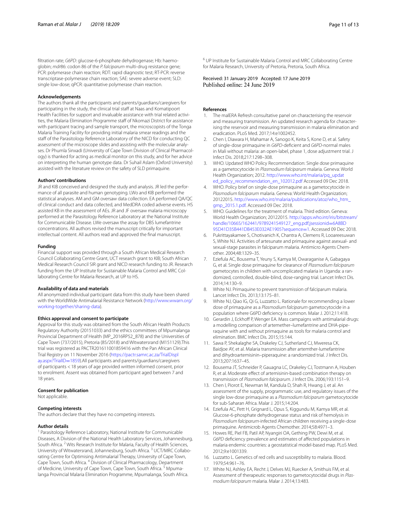fltration rate; *G6PD*: glucose-6-phosphate dehydrogenase; Hb: haemoglobin; *mdr*86: codon 86 of the *P. falciparum* multi-drug resistance gene; PCR: polymerase chain reaction; RDT: rapid diagnostic test; RT-PCR: reverse transcriptase-polymerase chain reaction; SAE: severe adverse event; SLD: single low-dose; qPCR: quantitative polymerase chain reaction.

#### **Acknowledgements**

The authors thank all the participants and parents/guardians/caregivers for participating in the study, the clinical trial staff at Naas and Komatipoort Health Facilities for support and invaluable assistance with trial related activities, the Malaria Elimination Programme staff of Nkomazi District for assistance with participant tracing and sample transport, the microscopists of the Tonga Malaria Training Facility for providing initial malaria smear readings and the staff of the Parasitology Reference Laboratory of the NICD for conducting QC assessment of the microscope slides and assisting with the molecular analyses. Dr Phumla Sinxadi (University of Cape Town Division of Clinical Pharmacology) is thanked for acting as medical monitor on this study, and for her advice on interpreting the human genotype data. Dr Suhail Aslam (Oxford University) assisted with the literature review on the safety of SLD primaquine.

#### **Authors' contributions**

JR and KIB conceived and designed the study and analysis. JR led the performance of all parasite and human genotyping. LWo and KIB performed the statistical analyses. AM and GM oversaw data collection. EA performed QA/QC of clinical conduct and data collected, and MedDRA coded adverse events. HS assisted KB in the assessment of AEs. JR and JF oversaw malaria microscopy performed at the Parasitology Reference Laboratory at the National Institute for Communicable Disease. LWe oversaw the assay for DBS lumefantrine concentrations. All authors revised the manuscript critically for important intellectual content. All authors read and approved the fnal manuscript.

#### **Funding**

Financial support was provided through a South African Medical Research Council Collaborating Centre Grant, UCT research grant to KIB; South African Medical Research Council SIR grant and NICD research funding to JR. Research funding from the UP Institute for Sustainable Malaria Control and MRC Collaborating Centre for Malaria Research, at UP to HS.

#### **Availability of data and materials**

All anonymized individual participant data from this study have been shared with the WorldWide Antimalarial Resistance Network [\(http://www.wwarn.org/](http://www.wwarn.org/working-together/sharing-data) [working-together/sharing-data](http://www.wwarn.org/working-together/sharing-data)).

#### **Ethics approval and consent to participate**

Approval for this study was obtained from the South African Health Products Regulatory Authority (20151033) and the ethics committees of Mpumalanga Provincial Department of Health (MP\_2016RP52\_878) and the Universities of Cape Town (737/2015), Pretoria (85/2018) and Witwatersrand (M151129).This trial was registered as PACTR201611001859416 with the Pan African Clinical Trial Registry on 11 November 2016 [\(https://pactr.samrc.ac.za/TrialDispl](https://pactr.samrc.ac.za/TrialDisplay.aspx?TrialID=1859) [ay.aspx?TrialID](https://pactr.samrc.ac.za/TrialDisplay.aspx?TrialID=1859)=1859).All participants and parents/guardians/caregivers of participants <18 years of age provided written informed consent, prior to enrolment. Assent was obtained from participant aged between 7 and 18 years.

#### **Consent for publication**

Not applicable.

#### **Competing interests**

The authors declare that they have no competing interests.

#### **Author details**

<sup>1</sup> Parasitology Reference Laboratory, National Institute for Communicable Diseases, A Division of the National Health Laboratory Services, Johannesburg, South Africa. <sup>2</sup> Wits Research Institute for Malaria, Faculty of Health Sciences, University of Witwatersrand, Johannesburg, South Africa. <sup>3</sup> UCT/MRC Collaborating Centre for Optimising Antimalarial Therapy, University of Cape Town, Cape Town, South Africa. 4 Division of Clinical Pharmacology, Department of Medicine, University of Cape Town, Cape Town, South Africa.<sup>5</sup> Mpumalanga Provincial Malaria Elimination Programme, Mpumalanga, South Africa.

<sup>6</sup> UP Institute for Sustainable Malaria Control and MRC Collaborating Centre for Malaria Research, University of Pretoria, Pretoria, South Africa.

Received: 31 January 2019 Accepted: 17 June 2019

#### **References**

- <span id="page-10-0"></span>1. The malERA Refresh consultative panel on characterising the reservoir and measuring transmission. An updated research agenda for characterising the reservoir and measuring transmission in malaria elimination and eradication. PLoS Med. 2017;14:e1002452.
- <span id="page-10-1"></span>2. Chen I, Diawara H, Mahamar A, Sanogo K, Keita S, Kone D, et al. Safety of single-dose primaquine in *G6PD*-defcient and *G6PD*-normal males in Mali without malaria: an open-label, phase 1, dose adjustment trial. J Infect Dis. 2018;217:1298–308.
- <span id="page-10-2"></span>3. WHO. Updated WHO Policy Recommendation: Single dose primaquine as a gametocytocide in *Plasmodium falciparum* malaria. Geneva: World Health Organization; 2012. [http://www.who.int/malaria/pq\\_updat](http://www.who.int/malaria/pq_updated_policy_recommendation_en_102012.pdf) [ed\\_policy\\_recommendation\\_en\\_102012.pdf](http://www.who.int/malaria/pq_updated_policy_recommendation_en_102012.pdf) Accessed 09 Dec 2018.
- 4. WHO. Policy brief on single-dose primaquine as a gametocytocide in *Plasmodium falciparum* malaria. Geneva: World Health Organization; 20122015. [http://www.who.int/malaria/publications/atoz/who\\_htm\\_](http://www.who.int/malaria/publications/atoz/who_htm_gmp_2015.1.pdf) [gmp\\_2015.1.pdf.](http://www.who.int/malaria/publications/atoz/who_htm_gmp_2015.1.pdf) Accessed 09 Dec 2018.
- <span id="page-10-3"></span>5. WHO. Guidelines for the treatment of malaria. Third edition. Geneva: World Health Organization; 20122015. [http://apps.who.int/iris/bitstream/](http://apps.who.int/iris/bitstream/handle/10665/162441/9789241549127_eng.pdf%3bjsessionid%3d6A8BD95D41D35B441DB453E032AE1905%3fsequence%3d1) [handle/10665/162441/9789241549127\\_eng.pdf;jsessionid](http://apps.who.int/iris/bitstream/handle/10665/162441/9789241549127_eng.pdf%3bjsessionid%3d6A8BD95D41D35B441DB453E032AE1905%3fsequence%3d1)=6A8BD [95D41D35B441DB453E032AE1905?sequence](http://apps.who.int/iris/bitstream/handle/10665/162441/9789241549127_eng.pdf%3bjsessionid%3d6A8BD95D41D35B441DB453E032AE1905%3fsequence%3d1)=1. Accessed 09 Dec 2018.
- <span id="page-10-4"></span>Pukrittayakamee S, Chotivanich K, Chantra A, Clemens R, Looareesuwan S, White NJ. Activities of artesunate and primaquine against asexual- and sexual-stage parasites in falciparum malaria. Antimicro Agents Chemother. 2004;48:1329–35.
- <span id="page-10-5"></span>7. Eziefula AC, Bousema T, Yeuny S, Kamya M, Owaraganise A, Gabagaya G, et al. Single dose primaquine for clearance of *Plasmodium falciparum* gametocytes in children with uncomplicated malaria in Uganda: a randomized, controlled, double-blind, dose-ranging trial. Lancet Infect Dis. 2014;14:130–9.
- <span id="page-10-6"></span>8. White NJ. Primaquine to prevent transmission of falciparum malaria. Lancet Infect Dis. 2013;13:175–81.
- <span id="page-10-7"></span>9. White NJ, Qiao IG, Qi G, Luzzatto L. Rationale for recommending a lower dose of primaquine as a *Plasmodium falciparum* gametocytocide in a population where G6PD defciency is common. Malar J. 2012;11:418.
- <span id="page-10-8"></span>10. Gerardin J, Eckhoff P, Wenger EA. Mass campaigns with antimalarial drugs: a modelling comparison of artemether–lumefantrine and DHA-piperaquine with and without primaquine as tools for malaria control and elimination. BMC Infect Dis. 2015;15:144.
- <span id="page-10-9"></span>11. Sawa P, Shekalaghe SA, Drakeley CJ, Sutherland CJ, Mweresa CK, Baidjoe AY, et al. Malaria transmission after artemther-lumefantrine and dihydroartemisinin–piperaquine: a randomized trial. J Infect Dis. 2013;207:1637–45.
- <span id="page-10-10"></span>12. Bousema JT, Schneider P, Gauagna LC, Drakeley CJ, Tostmann A, Houben R, et al. Moderate effect of artemisinin-based combination therapy on transmission of *Plasmodium falciparum*. J Infect Dis. 2006;193:1151–9.
- <span id="page-10-11"></span>13. Chen I, Piorot E, Newman M, Kandula D, Shah R, Hwang J, et al. An assessment of the supply, programmatic use, and regulatory issues of the single low-dose primaquine as a *Plasmodium falciparum* gametocytocide for sub-Saharan Africa. Malar J. 2015;14:204.
- <span id="page-10-12"></span>14. Eziefula AC, Pett H, Grignard L, Opus S, Kiggundu M, Kamya MR, et al. Glucose-6-phosphate dehydrogenase status and risk of hemolysis in *Plasmodium falciparum*-infected African children receiving a single-dose primaquine. Antimicrob Agents Chemother. 2014;58:4971–3.
- <span id="page-10-13"></span>15. Howes RE, Piel FB, Patil AP, Nyangiri OA, Gething PW, Dewi M, et al. *G6PD* defciency prevalence and estimates of afected populations in malaria endemic countries: a geostatistical model-based map. PLoS Med. 2012;9:e1001339.
- <span id="page-10-14"></span>16. Luzzatto L. Genetics of red cells and susceptibility to malaria. Blood. 1979;54:961–76.
- <span id="page-10-15"></span>17. White NJ, Ashley EA, Recht J, Delves MJ, Ruecker A, Smithuis FM, et al. Assessment of therapeutic responses to gametocytocidal drugs in *Plasmodium falciparum* malaria. Malar J. 2014;13:483.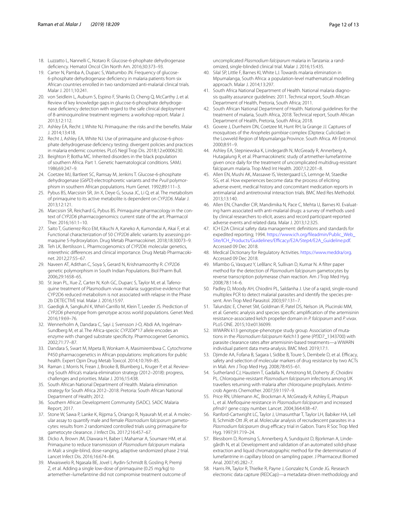- <span id="page-11-0"></span>18. Luzzatto L, Nannelli C, Notaro R. Glucose-6-phophate dehydrogenase defciency. Hematol Oncol Clin North Am. 2016;30:373–93.
- <span id="page-11-1"></span>19. Carter N, Pamba A, Duparc S, Waitumbo JN. Frequency of glucose-6-phosphate dehydrogenase defciency in malaria patients from six African countries enrolled in two randomized anti-malarial clinical trials. Malar J. 2011;10:241.
- <span id="page-11-2"></span>20. von Seidlein L, Auburn S, Espino F, Shanks D, Cheng Q, McCarthy J, et al. Review of key knowledge gaps in glucose-6-phosphate dehydrogenase defciency detection with regard to the safe clinical deployment of 8-aminoquinoline treatment regimens: a workshop report. Malar J. 2013;12:112.
- <span id="page-11-3"></span>21. Ashley EA, Recht J, White NJ. Primaquine: the risks and the benefts. Malar J. 2014;13:418.
- <span id="page-11-4"></span>22. Recht J, Ashley EA, White NJ. Use of primaquine and glucose-6-phosphate dehydrogenase defciency testing: divergent policies and practices in malaria endemic countries. PLoS Negl Trop Dis. 2018;12:e0006230.
- <span id="page-11-5"></span>23. Beighton P, Botha MC. Inherited disorders in the black population of southern Africa. Part 1. Genetic haematological conditions. SAMJ. 1986;69:247–9.
- <span id="page-11-6"></span>24. Coetzee MJ, Bartleet SC, Ramsay M, Jenkins T. Glucose-6-phosphate dehydrogenase (*G6PD*) electrophoretic variants and the *PvuII* polymorphism in southern African populations. Hum Genet. 1992;89:111–3.
- <span id="page-11-7"></span>25. Pybus BS, Marcsisin SR, Jin X, Deye G, Sousa JC, Li Q, et al. The metabolism of primaquine to its active metabolite is dependent on *CYP2D6*. Malar J. 2013;12:121.
- 26. Marcsisin SR, Reichard G, Pybus BS. Primaquine pharmacology in the context of *CYP2D6* pharmacogenomics: current state of the art. Pharmacol Ther. 2016;161:1–10.
- <span id="page-11-8"></span>27. Saito T, Gutierrez-Rico EM, Kikuchi A, Kaneko A, Kumondai A, Akai F, et al. Functional characterization of 50 *CYP2D6* allelic variants by assessing primaquine 5-hydroxylation. Drug Metab Pharmacokinet. 2018;18:30073–9.
- <span id="page-11-9"></span>28. Teh LK, Bertilsson L. Pharmcogenomics of *CYP2D6*: molecular genetics, interethnic diferences and clinical importance. Drug Metab Pharmacokinet. 2012;27:55–67.
- <span id="page-11-10"></span>29. Naveen AT, Adithan C, Soya S, Gerard N, Krishnamoorthy R. *CYP2D6* genetic polymorphism in South Indian Populations. Biol Pharm Bull. 2006;29:1658–65.
- <span id="page-11-38"></span>30. St Jean PL, Xue Z, Carter N, Koh GC, Duparc S, Taylor M, et al. Tafenoquine treatment of Plasmodium vivax malaria: suggestive evidence that CYP2D6 reduced metabolism is not associated with relapse in the Phase 2b DETECTIVE trial. Malar J. 2016;15:97.
- <span id="page-11-11"></span>31. Gaedigk A, Sangkuhl K, Whirl-Carrillo M, Klein T, Leeder JS. Prediction of *CYP2D6* phenotype from genotype across world populations. Genet Med. 2016;19:69–76.
- <span id="page-11-12"></span>32. Wennerholm A, Dandara C, Sayi J, Svensson J-O, Abdi AA, Ingelman-Sundberg M, et al. The Africa-speciic *CYP2D6*\*17 allele encodes an enzyme with changed substrate specifcity. Pharmocogenet Genomics. 2002;71:77–87.
- <span id="page-11-13"></span>33. Dandara S, Swart M, Mpeta B, Wonkam A, Masimirembwa C. Cytochrome P450 pharmacogenetics in African populations: implications for public health. Expert Opin Drug Metab Toxicol. 2014;10:769–85.
- <span id="page-11-14"></span>34. Raman J, Morris N, Frean J, Brooke B, Blumberg L, Kruger P, et al. Reviewing South Africa's malaria elimination strategy (2012–2018): progress, challenges and priorities. Malar J. 2016;15:438.
- <span id="page-11-15"></span>35. South African National Department of Health. Malaria elimination strategy for South Africa 2012–2018. Pretoria: South African National Department of Health; 2012.
- <span id="page-11-16"></span>36. Southern African Development Community (SADC). SADC Malaria Report; 2017.
- <span id="page-11-17"></span>37. Stone W, Sawa P, Lanke K, Rijpma S, Oriango R, Nyaurah M, et al. A molecular assay to quantify male and female *Plasmodium falciparum* gametocytes: results from 2 randomized controlled trials using primaquine for gametocyte clearance. J Infect Dis. 2017;216:457–67.
- <span id="page-11-39"></span>38. Dicko A, Brown JM, Diawara H, Baber I, Mahamar A, Soumare HM, et al. Primaquine to reduce transmission of *Plasmodium falciparum* malaria in Mali: a single-blind, dose-ranging, adaptive randomized phase 2 trial. Lancet Infect Dis. 2016;16:674–84.
- <span id="page-11-18"></span>39. Mwaiswelo R, Ngasala BE, Jovel I, Aydin-Schmidt B, Gosling R, Premji Z, et al. Adding a single low-dose of primaquine (0.25 mg/kg) to artemether–lumefantrine did not compromise treatment outcome of

uncomplicated *Plasmodium falciparum* malaria in Tanzania: a randomized, single-blinded clinical trial. Malar J. 2016;15:435.

- <span id="page-11-19"></span>40. Silal SP, Little F, Barnes KI, White LJ. Towards malaria elimination in Mpumalanga, South Africa: a population-level mathematical modelling approach. Malar J. 2014;13:297.
- <span id="page-11-20"></span>41. South Africa National Department of Health. National malaria diagnosis quality assurance guidelines: 2011. Technical report, South African Department of Health, Pretoria, South Africa; 2011.
- <span id="page-11-21"></span>42. South African National Department of Health. National guidelines for the treatment of malaria, South Africa, 2018. Technical report, South African Department of Health, Pretoria, South Africa; 2018.
- <span id="page-11-22"></span>43. Govere J, Durrheim DN, Coetzee M, Hunt RH, la Grange JJ. Captures of mosquitoes of the *Anopheles gambiae* complex (Diptera: Culicidae) in the Lowveld Region of Mpumalanga Province. South Africa. Afr Entomol. 2000;8:91–9.
- <span id="page-11-23"></span>44. Ashley EA, Stepniewska K, Lindegardh N, McGready R, Annerberg A, Hutagalung R, et al. Pharmacokinetic study of artmether-lumefantrine given once daily for the treatment of uncomplicated multidrug-resistant falciparum malaria. Trop Med Int Health. 2007;12:201–8.
- <span id="page-11-24"></span>45. Allen EN, Mushi AK, Massawe IS, Vestergaard LS, Lemnge M, Staedke SG, et al. How experiences become data: the process of eliciting adverse event, medical history and concomitant medication reports in antimalarial and antiretroviral interaction trials. BMC Med Res Methodol. 2013;13:140.
- <span id="page-11-25"></span>46. Allen EN, Chandler CIR, Mandimika N, Pace C, Mehta U, Barnes KI. Evaluating harm associated with anti-malarial drugs: a survey of methods used by clinical researchers to elicit, assess and record participant-reported adverse events and related data. Malar J. 2013;12:325.
- <span id="page-11-26"></span>47. ICH E2A Clinical safety data management: defnitions and standards for expedited reporting; 1994. [https://www.ich.org/fleadmin/Public\\_Web\\_](https://www.ich.org/fileadmin/Public_Web_Site/ICH_Products/Guidelines/Efficacy/E2A/Step4/E2A_Guideline.pdf) Site/ICH\_Products/Guidelines/Efficacy/E2A/Step4/E2A\_Guideline.pdf. Accessed 09 Dec 2018.
- <span id="page-11-27"></span>48. Medical Dictionary for Regulatory Activities. [https://www.meddra/org.](https://www.meddra/org) Accessed 09 Dec 2018.
- <span id="page-11-28"></span>49. Mlambo G, Vasquez Y, LeBlanc R, Sullivan D, Kumar N. A flter paper method for the detection of *Plasmodium falciparum* gametocytes by reverse transcription polymerase chain reaction. Am J Trop Med Hyg. 2008;78:114–6.
- <span id="page-11-29"></span>50. Padley D, Moody AH, Chiodini PL, Saldanha J. Use of a rapid, single-round multiplex PCR to detect malarial parasites and identify the species present. Ann Trop Med Parasitol. 2003;97:131–7.
- <span id="page-11-30"></span>51. Talundzic E, Chenet SM, Goldman IF, Patel DS, Nelson JA, Plucinski MM, et al. Genetic analysis and species specifc amplifcation of the artemisinin resistance-associated kelch propeller domain in *P. falciparum* and *P. vivax*. PLoS ONE. 2015;10:e0136099.
- <span id="page-11-31"></span>52. WWARN k13 genotype-phenotype study group. Association of mutations in the *Plasmodium falciparum* Kelch13 gene (*Pf3*D7\_1343700) with parasite clearance rates after artemisinin-based treatments—a WWARN individual patient data meta-analysis. BMC Med. 2019;17:1.
- <span id="page-11-32"></span>53. Djimde AA, Fofana B, Sagara I, Sidibe B, Toure S, Dembele D, et al. Efficacy, safety and selection of molecular markers of drug resistance by two ACTs in Mali. Am J Trop Med Hyg. 2008;78:455–61.
- <span id="page-11-33"></span>54. Sutherland CJ, Haustein T, Gadalla N, Amstrong M, Doherty JF, Choidini PL. Chloroquine-resistant *Plasmodium falciparum* infections among UK travellers returning with malaria after chloroquine prophylaxis. Antimicrob Agents Chemother. 2007;59:1197–9.
- <span id="page-11-34"></span>55. Price RN, Uhlemann AC, Brockman A, McGready R, Ashley E, Phaipun L, et al. Mefoquine resistance in *Plasmodium falciparum* and increased *pfmdr1* gene copy number. Lancet. 2004;364:438–47.
- <span id="page-11-35"></span>56. Ranford-Cartwright LC, Taylor J, Umasunthar T, Taylor LH, Babiker HA, Lell B, Schmidt-Ott JR, et al. Molecular analysis of recrudescent parasites in a Plasmodium falciparum drug efficacy trial in Gabon. Trans R Soc Trop Med Hyg. 1997;91:719–24.
- <span id="page-11-36"></span>57. Blessborn D, Romsing S, Annerberg A, Sundquist D, Bjorkman A, Lindegårdh N, et al. Development and validation of an automated solid-phase extraction and liquid chromatographic method for the determination of lumefantrine in capillary blood on sampling paper. J Pharmaceut Biomed Anal. 2007;45:282–7.
- <span id="page-11-37"></span>58. Harris PA, Taylor R, Thielke R, Payne J, Gonzalez N, Conde JG. Research electronic data capture (REDCap)—a metadata-driven methodology and